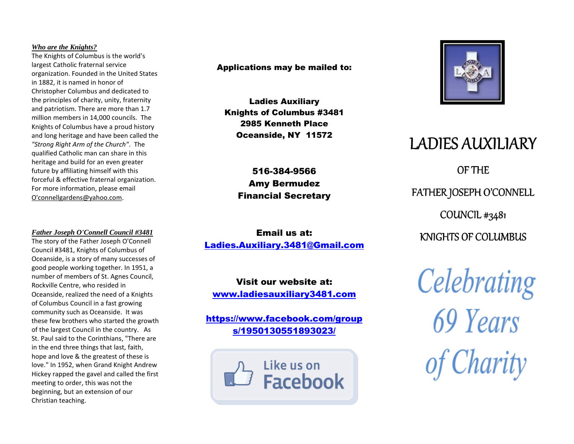#### *Who are the Knights?*

The Knights of Columbus is the world's largest Catholic fraternal service organization. Founded in the United States in 1882, it is named in honor of Christopher Columbus and dedicated to the principles of charity, unity, fraternity and patriotism. There are more than 1.7 million members in 14,000 councils. The Knights of Columbus have a [proud history](http://www.kofc.org/un/about/history/index.cfm)  [and long heritage](http://www.kofc.org/un/about/history/index.cfm) and have been called the *["Strong Right Arm of the Church"](http://www.kofc.org/)*. The [qualified Catholic man](http://www.kofc.org/un/about/join/how.cfm) can share in this heritage and build for an even greater future by affiliating himself with this forceful & effective fraternal organization. For more information, please email O'connellgardens@yahoo.com.

### *Father Joseph O'Connell Council #3481*

The story of the Father Joseph O'Connell Council #3481, Knights of Columbus of Oceanside, is a story of many successes of good people working together. In 1951, a number of members of St. Agnes Council, Rockville Centre, who resided in Oceanside, realized the need of a Knights of Columbus Council in a fast growing community such as Oceanside. It was these few brothers who started the growth of the largest Council in the country. As St. Paul said to the Corinthians, "There are in the end three things that last, faith, hope and love & the greatest of these is love." In 1952, when Grand Knight Andrew Hickey rapped the gavel and called the first meeting to order, this was not the beginning, but an extension of our Christian teaching.

Applications may be mailed to:

Ladies Auxiliary Knights of Columbus #3481 2985 Kenneth Place Oceanside, NY 11572

> 516-384-9566 Amy Bermudez Financial Secretary

Email us at: Ladies.Auxiliary.3481@Gmail.com

Visit our website at: www.ladiesauxiliary3481.com

[https://www.facebook.com/group](https://www.facebook.com/groups/1950130551893023/) [s/1950130551893023/](https://www.facebook.com/groups/1950130551893023/)





# **LADIES AUXILIARY**

OF THE FATHER JOSEPH O'CONNELL COUNCIL #3481 KNIGHTS OF COLUMBUS

Celebrating 69 Years of Charity